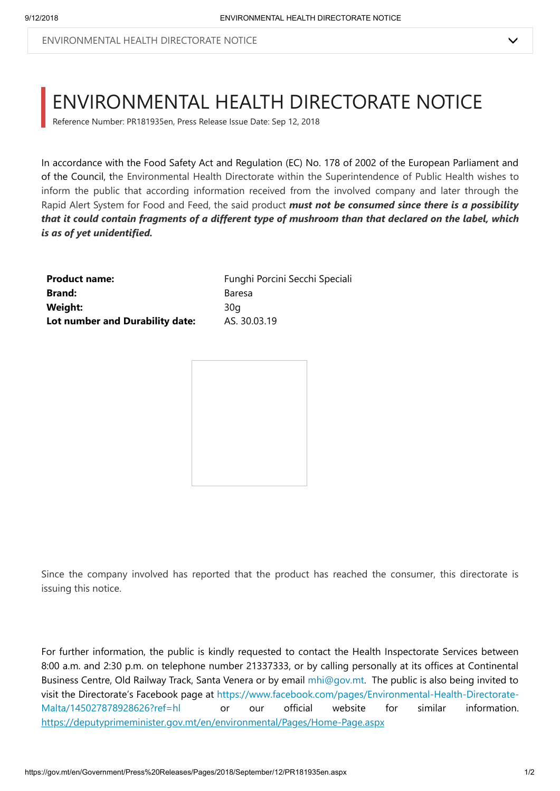Reference Number: PR181935en, Press Release Issue Date: Sep 12, 2018

In accordance with the Food Safety Act and Regulation (EC) No. 178 of 2002 of the European Parliament and of the Council, the Environmental Health Directorate within the Superintendence of Public Health wishes to inform the public that according information received from the involved company and later through the Rapid Alert System for Food and Feed, the said product *must not be consumed since there is a possibility that it could contain fragments of a different type of mushroom than that declared on the label, which is as of yet unidentified.*

| <b>Product name:</b>            | Funghi Porcini Secchi Speciali |
|---------------------------------|--------------------------------|
| <b>Brand:</b>                   | Baresa                         |
| Weight:                         | 30a                            |
| Lot number and Durability date: | AS. 30.03.19                   |



Since the company involved has reported that the product has reached the consumer, this directorate is issuing this notice.

For further information, the public is kindly requested to contact the Health Inspectorate Services between 8:00 a.m. and 2:30 p.m. on telephone number 21337333, or by calling personally at its offices at Continental Business Centre, Old Railway Track, Santa Venera or by email [mhi@gov.mt](mailto:mhi@gov.mt). The public is also being invited to [visit the Directorate's Facebook page at https://www.facebook.com/pages/Environmental-Health-Directorate-](https://www.facebook.com/pages/Environmental-Health-Directorate-Malta/145027878928626?ref=hl)Malta/145027878928626?ref=hl or our official website for similar information. <https://deputyprimeminister.gov.mt/en/environmental/Pages/Home-Page.aspx>